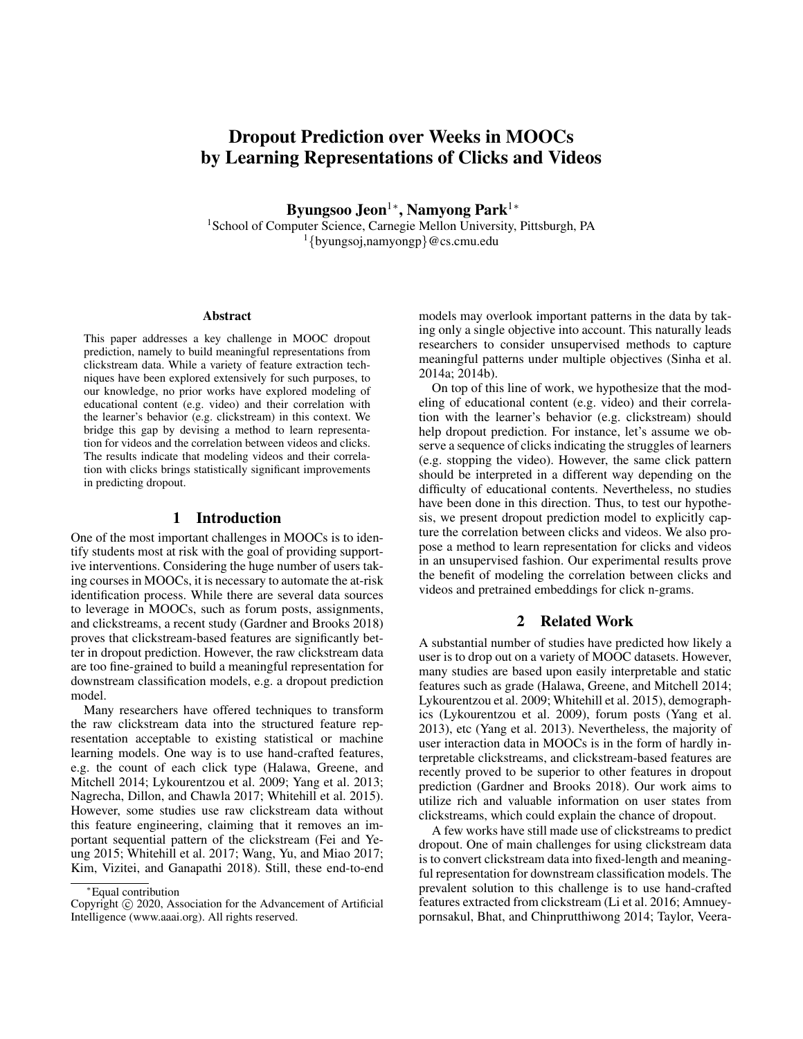# Dropout Prediction over Weeks in MOOCs by Learning Representations of Clicks and Videos

Byungsoo Jeon<sup>1</sup>\*, Namyong Park<sup>1</sup>\* <sup>1</sup>School of Computer Science, Carnegie Mellon University, Pittsburgh, PA  $1$ {byungsoj,namyongp}@cs.cmu.edu

#### **Abstract**

This paper addresses a key challenge in MOOC dropout prediction, namely to build meaningful representations from clickstream data. While a variety of feature extraction techniques have been explored extensively for such purposes, to our knowledge, no prior works have explored modeling of educational content (e.g. video) and their correlation with the learner's behavior (e.g. clickstream) in this context. We bridge this gap by devising a method to learn representation for videos and the correlation between videos and clicks. The results indicate that modeling videos and their correlation with clicks brings statistically significant improvements in predicting dropout.

## 1 Introduction

One of the most important challenges in MOOCs is to identify students most at risk with the goal of providing supportive interventions. Considering the huge number of users taking courses in MOOCs, it is necessary to automate the at-risk identification process. While there are several data sources to leverage in MOOCs, such as forum posts, assignments, and clickstreams, a recent study (Gardner and Brooks 2018) proves that clickstream-based features are significantly better in dropout prediction. However, the raw clickstream data are too fine-grained to build a meaningful representation for downstream classification models, e.g. a dropout prediction model.

Many researchers have offered techniques to transform the raw clickstream data into the structured feature representation acceptable to existing statistical or machine learning models. One way is to use hand-crafted features, e.g. the count of each click type (Halawa, Greene, and Mitchell 2014; Lykourentzou et al. 2009; Yang et al. 2013; Nagrecha, Dillon, and Chawla 2017; Whitehill et al. 2015). However, some studies use raw clickstream data without this feature engineering, claiming that it removes an important sequential pattern of the clickstream (Fei and Yeung 2015; Whitehill et al. 2017; Wang, Yu, and Miao 2017; Kim, Vizitei, and Ganapathi 2018). Still, these end-to-end

models may overlook important patterns in the data by taking only a single objective into account. This naturally leads researchers to consider unsupervised methods to capture meaningful patterns under multiple objectives (Sinha et al. 2014a; 2014b).

On top of this line of work, we hypothesize that the modeling of educational content (e.g. video) and their correlation with the learner's behavior (e.g. clickstream) should help dropout prediction. For instance, let's assume we observe a sequence of clicks indicating the struggles of learners (e.g. stopping the video). However, the same click pattern should be interpreted in a different way depending on the difficulty of educational contents. Nevertheless, no studies have been done in this direction. Thus, to test our hypothesis, we present dropout prediction model to explicitly capture the correlation between clicks and videos. We also propose a method to learn representation for clicks and videos in an unsupervised fashion. Our experimental results prove the benefit of modeling the correlation between clicks and videos and pretrained embeddings for click n-grams.

# 2 Related Work

A substantial number of studies have predicted how likely a user is to drop out on a variety of MOOC datasets. However, many studies are based upon easily interpretable and static features such as grade (Halawa, Greene, and Mitchell 2014; Lykourentzou et al. 2009; Whitehill et al. 2015), demographics (Lykourentzou et al. 2009), forum posts (Yang et al. 2013), etc (Yang et al. 2013). Nevertheless, the majority of user interaction data in MOOCs is in the form of hardly interpretable clickstreams, and clickstream-based features are recently proved to be superior to other features in dropout prediction (Gardner and Brooks 2018). Our work aims to utilize rich and valuable information on user states from clickstreams, which could explain the chance of dropout.

A few works have still made use of clickstreams to predict dropout. One of main challenges for using clickstream data is to convert clickstream data into fixed-length and meaningful representation for downstream classification models. The prevalent solution to this challenge is to use hand-crafted features extracted from clickstream (Li et al. 2016; Amnueypornsakul, Bhat, and Chinprutthiwong 2014; Taylor, Veera-

<sup>∗</sup>Equal contribution

Copyright (c) 2020, Association for the Advancement of Artificial Intelligence (www.aaai.org). All rights reserved.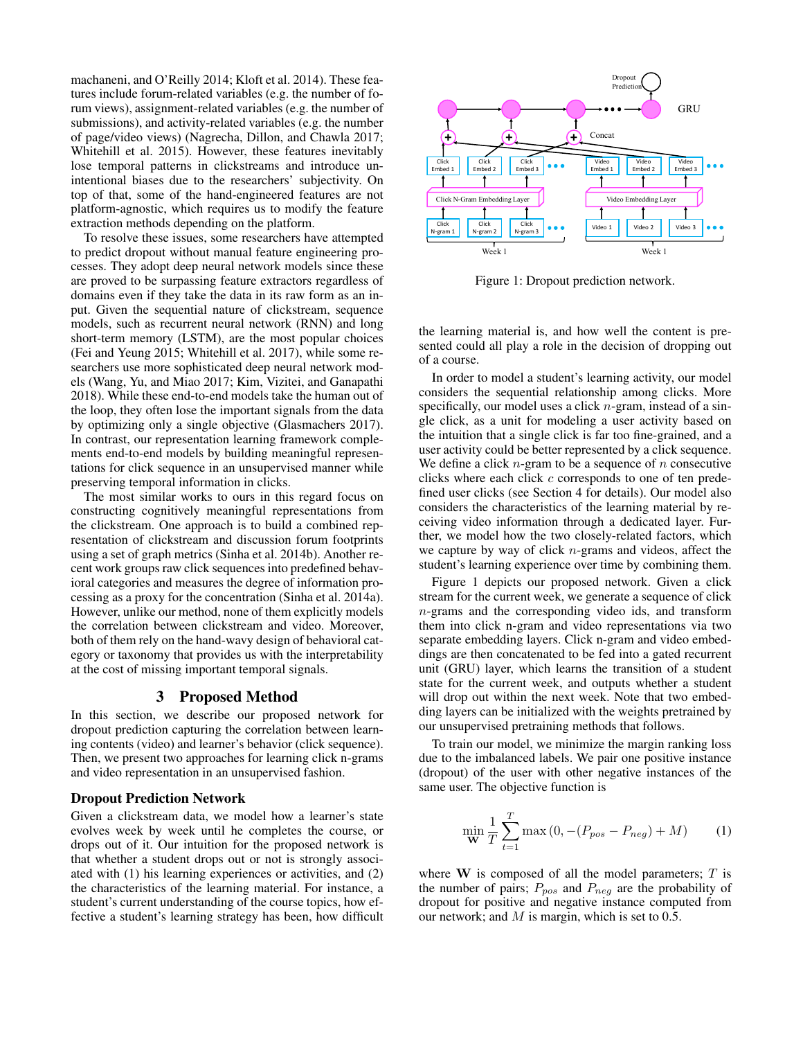machaneni, and O'Reilly 2014; Kloft et al. 2014). These features include forum-related variables (e.g. the number of forum views), assignment-related variables (e.g. the number of submissions), and activity-related variables (e.g. the number of page/video views) (Nagrecha, Dillon, and Chawla 2017; Whitehill et al. 2015). However, these features inevitably lose temporal patterns in clickstreams and introduce unintentional biases due to the researchers' subjectivity. On top of that, some of the hand-engineered features are not platform-agnostic, which requires us to modify the feature extraction methods depending on the platform.

To resolve these issues, some researchers have attempted to predict dropout without manual feature engineering processes. They adopt deep neural network models since these are proved to be surpassing feature extractors regardless of domains even if they take the data in its raw form as an input. Given the sequential nature of clickstream, sequence models, such as recurrent neural network (RNN) and long short-term memory (LSTM), are the most popular choices (Fei and Yeung 2015; Whitehill et al. 2017), while some researchers use more sophisticated deep neural network models (Wang, Yu, and Miao 2017; Kim, Vizitei, and Ganapathi 2018). While these end-to-end models take the human out of the loop, they often lose the important signals from the data by optimizing only a single objective (Glasmachers 2017). In contrast, our representation learning framework complements end-to-end models by building meaningful representations for click sequence in an unsupervised manner while preserving temporal information in clicks.

The most similar works to ours in this regard focus on constructing cognitively meaningful representations from the clickstream. One approach is to build a combined representation of clickstream and discussion forum footprints using a set of graph metrics (Sinha et al. 2014b). Another recent work groups raw click sequences into predefined behavioral categories and measures the degree of information processing as a proxy for the concentration (Sinha et al. 2014a). However, unlike our method, none of them explicitly models the correlation between clickstream and video. Moreover, both of them rely on the hand-wavy design of behavioral category or taxonomy that provides us with the interpretability at the cost of missing important temporal signals.

## 3 Proposed Method

In this section, we describe our proposed network for dropout prediction capturing the correlation between learning contents (video) and learner's behavior (click sequence). Then, we present two approaches for learning click n-grams and video representation in an unsupervised fashion.

#### Dropout Prediction Network

Given a clickstream data, we model how a learner's state evolves week by week until he completes the course, or drops out of it. Our intuition for the proposed network is that whether a student drops out or not is strongly associated with (1) his learning experiences or activities, and (2) the characteristics of the learning material. For instance, a student's current understanding of the course topics, how effective a student's learning strategy has been, how difficult



Figure 1: Dropout prediction network.

the learning material is, and how well the content is presented could all play a role in the decision of dropping out of a course.

In order to model a student's learning activity, our model considers the sequential relationship among clicks. More specifically, our model uses a click  $n$ -gram, instead of a single click, as a unit for modeling a user activity based on the intuition that a single click is far too fine-grained, and a user activity could be better represented by a click sequence. We define a click *n*-gram to be a sequence of *n* consecutive clicks where each click c corresponds to one of ten predefined user clicks (see Section 4 for details). Our model also considers the characteristics of the learning material by receiving video information through a dedicated layer. Further, we model how the two closely-related factors, which we capture by way of click  $n$ -grams and videos, affect the student's learning experience over time by combining them.

Figure 1 depicts our proposed network. Given a click stream for the current week, we generate a sequence of click n-grams and the corresponding video ids, and transform them into click n-gram and video representations via two separate embedding layers. Click n-gram and video embeddings are then concatenated to be fed into a gated recurrent unit (GRU) layer, which learns the transition of a student state for the current week, and outputs whether a student will drop out within the next week. Note that two embedding layers can be initialized with the weights pretrained by our unsupervised pretraining methods that follows.

To train our model, we minimize the margin ranking loss due to the imbalanced labels. We pair one positive instance (dropout) of the user with other negative instances of the same user. The objective function is

$$
\min_{\mathbf{W}} \frac{1}{T} \sum_{t=1}^{T} \max (0, -(P_{pos} - P_{neg}) + M) \tag{1}
$$

where  $W$  is composed of all the model parameters;  $T$  is the number of pairs;  $P_{pos}$  and  $P_{neg}$  are the probability of dropout for positive and negative instance computed from our network; and  $M$  is margin, which is set to 0.5.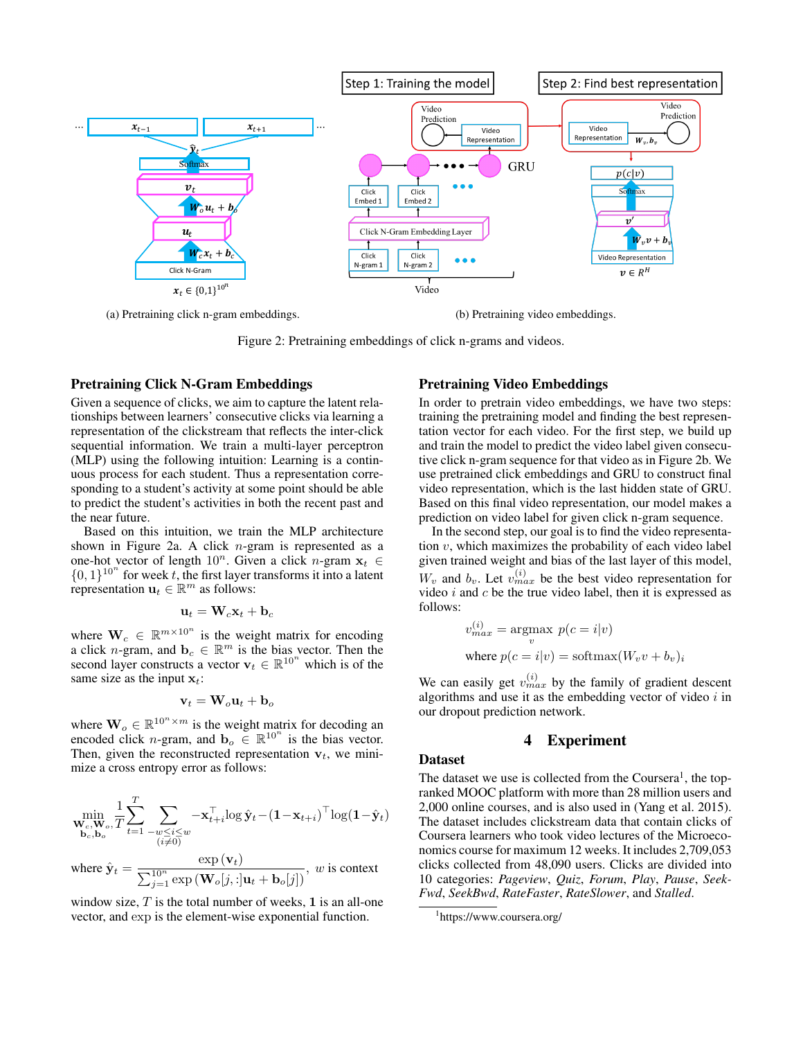

(a) Pretraining click n-gram embeddings. (b) Pretraining video embeddings.

Figure 2: Pretraining embeddings of click n-grams and videos.

#### Pretraining Click N-Gram Embeddings

Given a sequence of clicks, we aim to capture the latent relationships between learners' consecutive clicks via learning a representation of the clickstream that reflects the inter-click sequential information. We train a multi-layer perceptron (MLP) using the following intuition: Learning is a continuous process for each student. Thus a representation corresponding to a student's activity at some point should be able to predict the student's activities in both the recent past and the near future.

Based on this intuition, we train the MLP architecture shown in Figure 2a. A click  $n$ -gram is represented as a one-hot vector of length  $10^n$ . Given a click n-gram  $x_t \in$  $\{0, 1\}^{10^n}$  for week t, the first layer transforms it into a latent representation  $\mathbf{u}_t \in \mathbb{R}^m$  as follows:

$$
\mathbf{u}_t = \mathbf{W}_c \mathbf{x}_t + \mathbf{b}_c
$$

where  $\mathbf{W}_c \in \mathbb{R}^{m \times 10^n}$  is the weight matrix for encoding a click *n*-gram, and  $\mathbf{b}_c \in \mathbb{R}^m$  is the bias vector. Then the second layer constructs a vector  $\mathbf{v}_t \in \mathbb{R}^{10^n}$  which is of the same size as the input  $x_t$ :

$$
\mathbf{v}_t = \mathbf{W}_o \mathbf{u}_t + \mathbf{b}_o
$$

where  $\mathbf{W}_o \in \mathbb{R}^{10^n \times m}$  is the weight matrix for decoding an encoded click *n*-gram, and  $\mathbf{b}_o \in \mathbb{R}^{10^n}$  is the bias vector. Then, given the reconstructed representation  $v_t$ , we minimize a cross entropy error as follows:

$$
\min_{\substack{\mathbf{W}_c,\mathbf{W}_o,\mathbf{T} \\ \mathbf{b}_c,\mathbf{b}_o}} \frac{1}{T} \sum_{t=1}^T \sum_{\substack{-w \leq i \leq w \\ (i \neq 0)}} -\mathbf{x}_{t+i}^\top \log \hat{\mathbf{y}}_t - (\mathbf{1} - \mathbf{x}_{t+i})^\top \log(\mathbf{1} - \hat{\mathbf{y}}_t)
$$
\nwhere  $\hat{\mathbf{y}}_t = \frac{\exp (\mathbf{v}_t)}{\sum_{j=1}^{10^n} \exp (\mathbf{W}_o[j,:] \mathbf{u}_t + \mathbf{b}_o[j])}$ , *w* is context

window size,  $T$  is the total number of weeks, 1 is an all-one vector, and exp is the element-wise exponential function.

#### Pretraining Video Embeddings

In order to pretrain video embeddings, we have two steps: training the pretraining model and finding the best representation vector for each video. For the first step, we build up and train the model to predict the video label given consecutive click n-gram sequence for that video as in Figure 2b. We use pretrained click embeddings and GRU to construct final video representation, which is the last hidden state of GRU. Based on this final video representation, our model makes a prediction on video label for given click n-gram sequence.

In the second step, our goal is to find the video representation  $v$ , which maximizes the probability of each video label given trained weight and bias of the last layer of this model,  $W_v$  and  $b_v$ . Let  $v_{max}^{(i)}$  be the best video representation for video  $i$  and  $c$  be the true video label, then it is expressed as follows:

$$
v_{max}^{(i)} = \underset{v}{\text{argmax}} p(c = i|v)
$$
  
where  $p(c = i|v) = \text{softmax}(W_v v + b_v)_i$ 

We can easily get  $v_{max}^{(i)}$  by the family of gradient descent algorithms and use it as the embedding vector of video  $i$  in our dropout prediction network.

# 4 Experiment

# Dataset

The dataset we use is collected from the Coursera<sup>1</sup>, the topranked MOOC platform with more than 28 million users and 2,000 online courses, and is also used in (Yang et al. 2015). The dataset includes clickstream data that contain clicks of Coursera learners who took video lectures of the Microeconomics course for maximum 12 weeks. It includes 2,709,053 clicks collected from 48,090 users. Clicks are divided into 10 categories: *Pageview*, *Quiz*, *Forum*, *Play*, *Pause*, *Seek-Fwd*, *SeekBwd*, *RateFaster*, *RateSlower*, and *Stalled*.

<sup>1</sup> https://www.coursera.org/